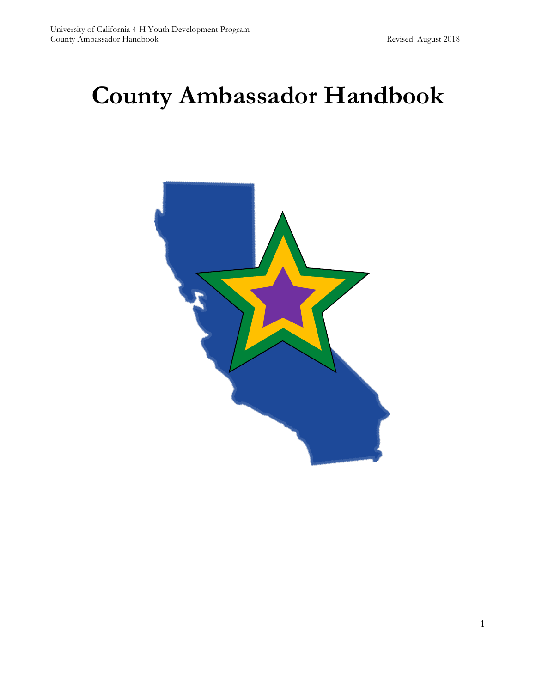# **County Ambassador Handbook**

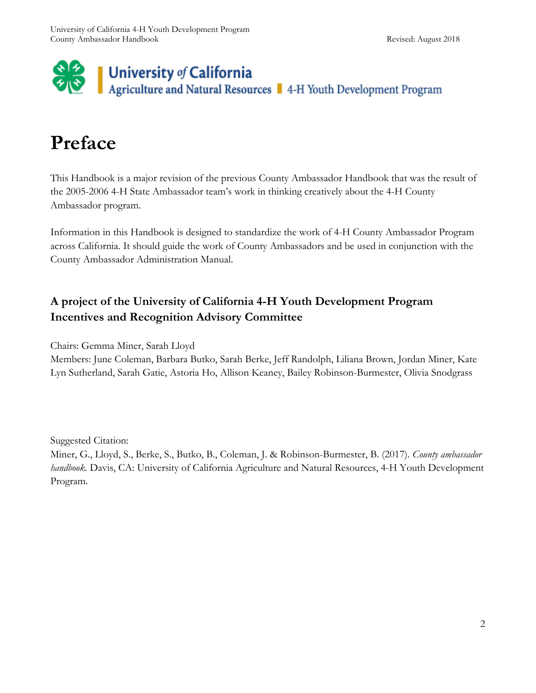

# **Preface**

This Handbook is a major revision of the previous County Ambassador Handbook that was the result of the 2005-2006 4-H State Ambassador team's work in thinking creatively about the 4-H County Ambassador program.

Information in this Handbook is designed to standardize the work of 4-H County Ambassador Program across California. It should guide the work of County Ambassadors and be used in conjunction with the County Ambassador Administration Manual.

# **A project of the University of California 4-H Youth Development Program Incentives and Recognition Advisory Committee**

Chairs: Gemma Miner, Sarah Lloyd

Members: June Coleman, Barbara Butko, Sarah Berke, Jeff Randolph, Liliana Brown, Jordan Miner, Kate Lyn Sutherland, Sarah Gatie, Astoria Ho, Allison Keaney, Bailey Robinson-Burmester, Olivia Snodgrass

Suggested Citation:

Miner, G., Lloyd, S., Berke, S., Butko, B., Coleman, J. & Robinson-Burmester, B. (2017). *County ambassador handbook.* Davis, CA: University of California Agriculture and Natural Resources, 4-H Youth Development Program.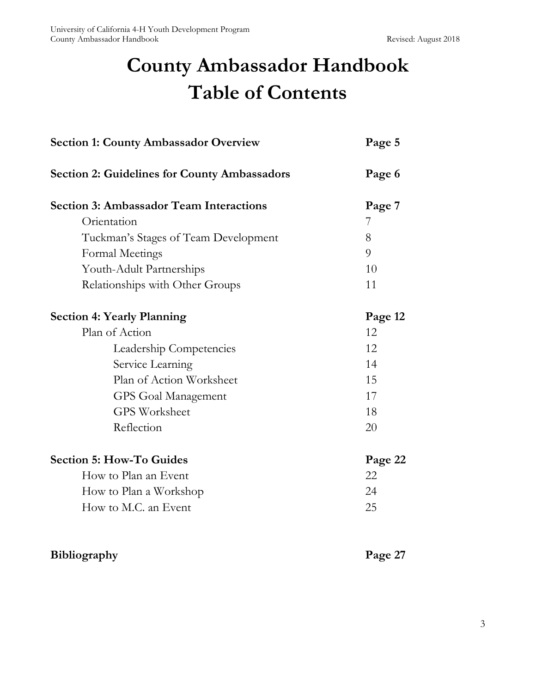# **County Ambassador Handbook Table of Contents**

| <b>Section 1: County Ambassador Overview</b>        | Page 5  |
|-----------------------------------------------------|---------|
| <b>Section 2: Guidelines for County Ambassadors</b> | Page 6  |
| <b>Section 3: Ambassador Team Interactions</b>      | Page 7  |
| Orientation                                         | 7       |
| Tuckman's Stages of Team Development                | 8       |
| Formal Meetings                                     | 9       |
| Youth-Adult Partnerships                            | 10      |
| Relationships with Other Groups                     | 11      |
| <b>Section 4: Yearly Planning</b>                   | Page 12 |
| Plan of Action                                      | 12      |
| Leadership Competencies                             | 12      |
| Service Learning                                    | 14      |
| Plan of Action Worksheet                            | 15      |
| GPS Goal Management                                 | 17      |
| <b>GPS Worksheet</b>                                | 18      |
| Reflection                                          | 20      |
| <b>Section 5: How-To Guides</b>                     | Page 22 |
| How to Plan an Event                                | 22      |
| How to Plan a Workshop                              | 24      |
| How to M.C. an Event                                | 25      |

# **Bibliography Page 27**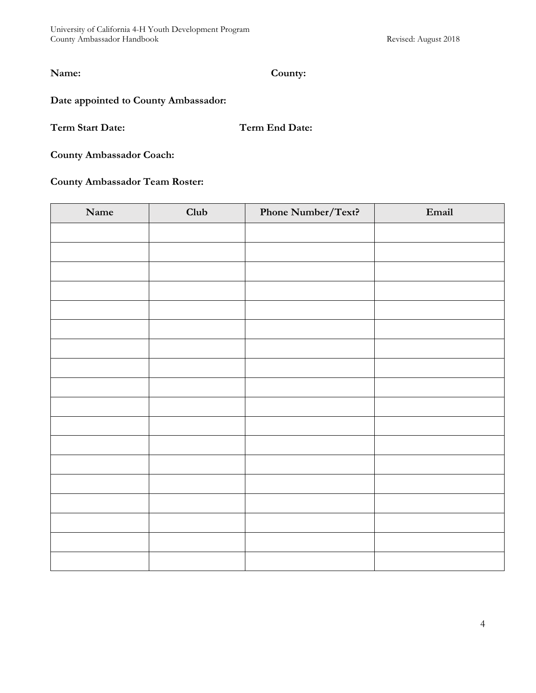**Name: County:**

#### **Date appointed to County Ambassador:**

**Term Start Date: Term End Date:**

**County Ambassador Coach:**

#### **County Ambassador Team Roster:**

| Name | Club | Phone Number/Text? | $Email$ |
|------|------|--------------------|---------|
|      |      |                    |         |
|      |      |                    |         |
|      |      |                    |         |
|      |      |                    |         |
|      |      |                    |         |
|      |      |                    |         |
|      |      |                    |         |
|      |      |                    |         |
|      |      |                    |         |
|      |      |                    |         |
|      |      |                    |         |
|      |      |                    |         |
|      |      |                    |         |
|      |      |                    |         |
|      |      |                    |         |
|      |      |                    |         |
|      |      |                    |         |
|      |      |                    |         |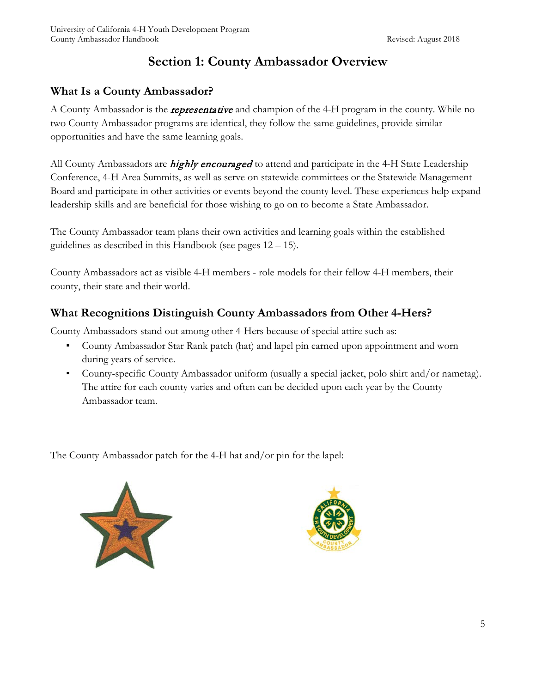# **Section 1: County Ambassador Overview**

# **What Is a County Ambassador?**

A County Ambassador is the *representative* and champion of the 4-H program in the county. While no two County Ambassador programs are identical, they follow the same guidelines, provide similar opportunities and have the same learning goals.

All County Ambassadors are *highly encouraged* to attend and participate in the 4-H State Leadership Conference, 4-H Area Summits, as well as serve on statewide committees or the Statewide Management Board and participate in other activities or events beyond the county level. These experiences help expand leadership skills and are beneficial for those wishing to go on to become a State Ambassador.

The County Ambassador team plans their own activities and learning goals within the established guidelines as described in this Handbook (see pages 12 – 15).

County Ambassadors act as visible 4-H members - role models for their fellow 4-H members, their county, their state and their world.

# **What Recognitions Distinguish County Ambassadors from Other 4-Hers?**

County Ambassadors stand out among other 4-Hers because of special attire such as:

- County Ambassador Star Rank patch (hat) and lapel pin earned upon appointment and worn during years of service.
- County-specific County Ambassador uniform (usually a special jacket, polo shirt and/or nametag). The attire for each county varies and often can be decided upon each year by the County Ambassador team.

The County Ambassador patch for the 4-H hat and/or pin for the lapel:



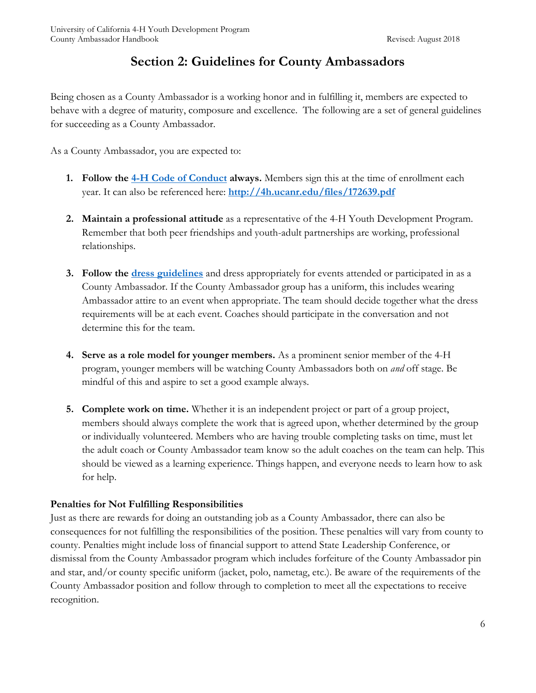# **Section 2: Guidelines for County Ambassadors**

Being chosen as a County Ambassador is a working honor and in fulfilling it, members are expected to behave with a degree of maturity, composure and excellence. The following are a set of general guidelines for succeeding as a County Ambassador.

As a County Ambassador, you are expected to:

- **1. Follow the [4-H Code of Conduct](http://4h.ucanr.edu/files/172639.pdf) always.** Members sign this at the time of enrollment each year. It can also be referenced here: **<http://4h.ucanr.edu/files/172639.pdf>**
- **2. Maintain a professional attitude** as a representative of the 4-H Youth Development Program. Remember that both peer friendships and youth-adult partnerships are working, professional relationships.
- **3. Follow the [dress guidelines](http://4h.ucanr.edu/files/210170.pdf)** and dress appropriately for events attended or participated in as a County Ambassador. If the County Ambassador group has a uniform, this includes wearing Ambassador attire to an event when appropriate. The team should decide together what the dress requirements will be at each event. Coaches should participate in the conversation and not determine this for the team.
- **4. Serve as a role model for younger members.** As a prominent senior member of the 4-H program, younger members will be watching County Ambassadors both on *and* off stage. Be mindful of this and aspire to set a good example always.
- **5. Complete work on time.** Whether it is an independent project or part of a group project, members should always complete the work that is agreed upon, whether determined by the group or individually volunteered. Members who are having trouble completing tasks on time, must let the adult coach or County Ambassador team know so the adult coaches on the team can help. This should be viewed as a learning experience. Things happen, and everyone needs to learn how to ask for help.

#### **Penalties for Not Fulfilling Responsibilities**

Just as there are rewards for doing an outstanding job as a County Ambassador, there can also be consequences for not fulfilling the responsibilities of the position. These penalties will vary from county to county. Penalties might include loss of financial support to attend State Leadership Conference, or dismissal from the County Ambassador program which includes forfeiture of the County Ambassador pin and star, and/or county specific uniform (jacket, polo, nametag, etc.). Be aware of the requirements of the County Ambassador position and follow through to completion to meet all the expectations to receive recognition.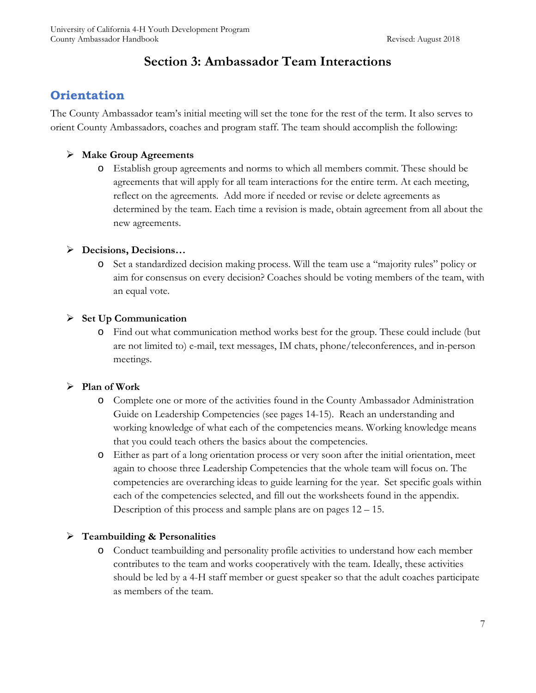# **Section 3: Ambassador Team Interactions**

# **Orientation**

The County Ambassador team's initial meeting will set the tone for the rest of the term. It also serves to orient County Ambassadors, coaches and program staff. The team should accomplish the following:

#### **Make Group Agreements**

o Establish group agreements and norms to which all members commit. These should be agreements that will apply for all team interactions for the entire term. At each meeting, reflect on the agreements. Add more if needed or revise or delete agreements as determined by the team. Each time a revision is made, obtain agreement from all about the new agreements.

#### **Decisions, Decisions…**

o Set a standardized decision making process. Will the team use a "majority rules" policy or aim for consensus on every decision? Coaches should be voting members of the team, with an equal vote.

#### **Set Up Communication**

o Find out what communication method works best for the group. These could include (but are not limited to) e-mail, text messages, IM chats, phone/teleconferences, and in-person meetings.

#### **Plan of Work**

- o Complete one or more of the activities found in the County Ambassador Administration Guide on Leadership Competencies (see pages 14-15). Reach an understanding and working knowledge of what each of the competencies means. Working knowledge means that you could teach others the basics about the competencies.
- o Either as part of a long orientation process or very soon after the initial orientation, meet again to choose three Leadership Competencies that the whole team will focus on. The competencies are overarching ideas to guide learning for the year. Set specific goals within each of the competencies selected, and fill out the worksheets found in the appendix. Description of this process and sample plans are on pages 12 – 15.

#### **Teambuilding & Personalities**

o Conduct teambuilding and personality profile activities to understand how each member contributes to the team and works cooperatively with the team. Ideally, these activities should be led by a 4-H staff member or guest speaker so that the adult coaches participate as members of the team.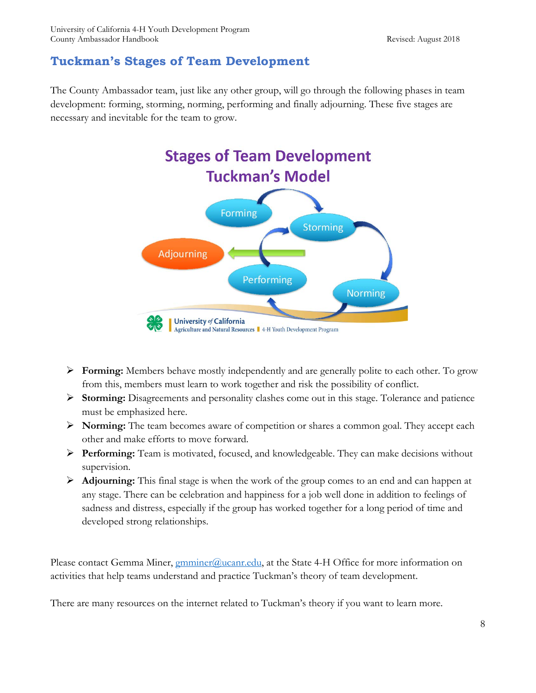# **Tuckman's Stages of Team Development**

The County Ambassador team, just like any other group, will go through the following phases in team development: forming, storming, norming, performing and finally adjourning. These five stages are necessary and inevitable for the team to grow.



- **Forming:** Members behave mostly independently and are generally polite to each other. To grow from this, members must learn to work together and risk the possibility of conflict.
- **Storming:** Disagreements and personality clashes come out in this stage. Tolerance and patience must be emphasized here.
- **Norming:** The team becomes aware of competition or shares a common goal. They accept each other and make efforts to move forward.
- **Performing:** Team is motivated, focused, and knowledgeable. They can make decisions without supervision.
- **Adjourning:** This final stage is when the work of the group comes to an end and can happen at any stage. There can be celebration and happiness for a job well done in addition to feelings of sadness and distress, especially if the group has worked together for a long period of time and developed strong relationships.

Please contact Gemma Miner, *gmminer@ucanr.edu*, at the State 4-H Office for more information on activities that help teams understand and practice Tuckman's theory of team development.

There are many resources on the internet related to Tuckman's theory if you want to learn more.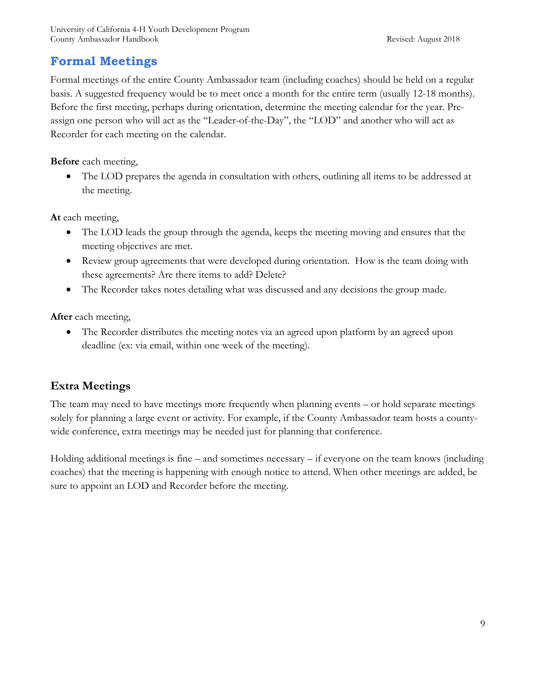# **Formal Meetings**

Formal meetings of the entire County Ambassador team (including coaches) should be held on a regular basis. A suggested frequency would be to meet once a month for the entire term (usually 12-18 months). Before the first meeting, perhaps during orientation, determine the meeting calendar for the year. Preassign one person who will act as the "Leader-of-the-Day", the "LOD" and another who will act as Recorder for each meeting on the calendar.

**Before** each meeting,

• The LOD prepares the agenda in consultation with others, outlining all items to be addressed at the meeting.

**At** each meeting,

- The LOD leads the group through the agenda, keeps the meeting moving and ensures that the meeting objectives are met.
- Review group agreements that were developed during orientation. How is the team doing with these agreements? Are there items to add? Delete?
- The Recorder takes notes detailing what was discussed and any decisions the group made.

**After** each meeting,

• The Recorder distributes the meeting notes via an agreed upon platform by an agreed upon deadline (ex: via email, within one week of the meeting).

# **Extra Meetings**

The team may need to have meetings more frequently when planning events – or hold separate meetings solely for planning a large event or activity. For example, if the County Ambassador team hosts a countywide conference, extra meetings may be needed just for planning that conference.

Holding additional meetings is fine – and sometimes necessary – if everyone on the team knows (including coaches) that the meeting is happening with enough notice to attend. When other meetings are added, be sure to appoint an LOD and Recorder before the meeting.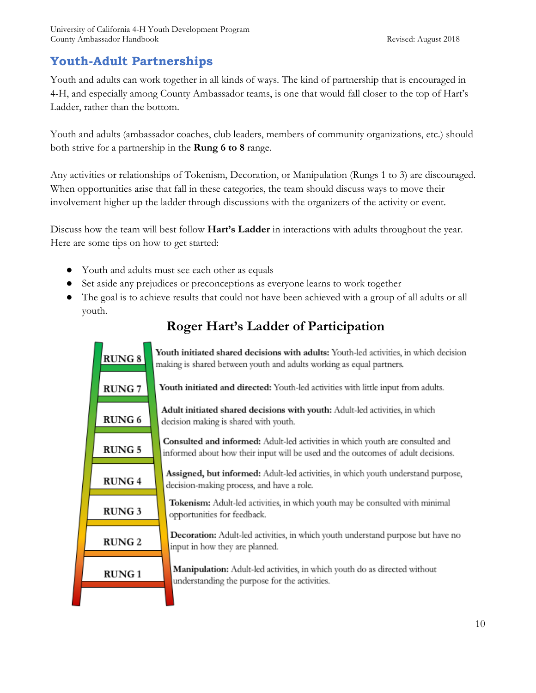# **Youth-Adult Partnerships**

Youth and adults can work together in all kinds of ways. The kind of partnership that is encouraged in 4-H, and especially among County Ambassador teams, is one that would fall closer to the top of Hart's Ladder, rather than the bottom.

Youth and adults (ambassador coaches, club leaders, members of community organizations, etc.) should both strive for a partnership in the **Rung 6 to 8** range.

Any activities or relationships of Tokenism, Decoration, or Manipulation (Rungs 1 to 3) are discouraged. When opportunities arise that fall in these categories, the team should discuss ways to move their involvement higher up the ladder through discussions with the organizers of the activity or event.

Discuss how the team will best follow **Hart's Ladder** in interactions with adults throughout the year. Here are some tips on how to get started:

- Youth and adults must see each other as equals
- Set aside any prejudices or preconceptions as everyone learns to work together
- The goal is to achieve results that could not have been achieved with a group of all adults or all youth.



# **Roger Hart's Ladder of Participation**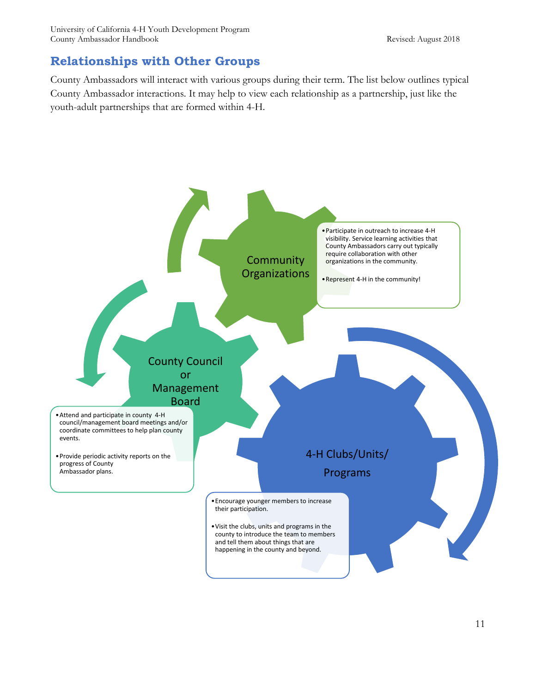# **Relationships with Other Groups**

County Ambassadors will interact with various groups during their term. The list below outlines typical County Ambassador interactions. It may help to view each relationship as a partnership, just like the youth-adult partnerships that are formed within 4-H.

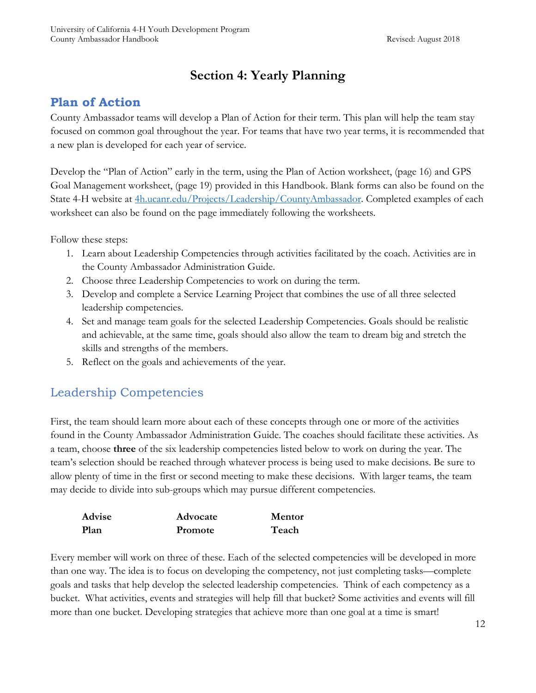# **Section 4: Yearly Planning**

# **Plan of Action**

County Ambassador teams will develop a Plan of Action for their term. This plan will help the team stay focused on common goal throughout the year. For teams that have two year terms, it is recommended that a new plan is developed for each year of service.

Develop the "Plan of Action" early in the term, using the Plan of Action worksheet, (page 16) and GPS Goal Management worksheet, (page 19) provided in this Handbook. Blank forms can also be found on the State 4-H website at [4h.ucanr.edu/Projects/Leadership/CountyAmbassador.](http://4h.ucanr.edu/Projects/Leadership/CountyAmbassador) Completed examples of each worksheet can also be found on the page immediately following the worksheets.

Follow these steps:

- 1. Learn about Leadership Competencies through activities facilitated by the coach. Activities are in the County Ambassador Administration Guide.
- 2. Choose three Leadership Competencies to work on during the term.
- 3. Develop and complete a Service Learning Project that combines the use of all three selected leadership competencies.
- 4. Set and manage team goals for the selected Leadership Competencies. Goals should be realistic and achievable, at the same time, goals should also allow the team to dream big and stretch the skills and strengths of the members.
- 5. Reflect on the goals and achievements of the year.

# Leadership Competencies

First, the team should learn more about each of these concepts through one or more of the activities found in the County Ambassador Administration Guide. The coaches should facilitate these activities. As a team, choose **three** of the six leadership competencies listed below to work on during the year. The team's selection should be reached through whatever process is being used to make decisions. Be sure to allow plenty of time in the first or second meeting to make these decisions. With larger teams, the team may decide to divide into sub-groups which may pursue different competencies.

| Advise | Advocate | Mentor |
|--------|----------|--------|
| Plan   | Promote  | Teach  |

Every member will work on three of these. Each of the selected competencies will be developed in more than one way. The idea is to focus on developing the competency, not just completing tasks—complete goals and tasks that help develop the selected leadership competencies. Think of each competency as a bucket. What activities, events and strategies will help fill that bucket? Some activities and events will fill more than one bucket. Developing strategies that achieve more than one goal at a time is smart!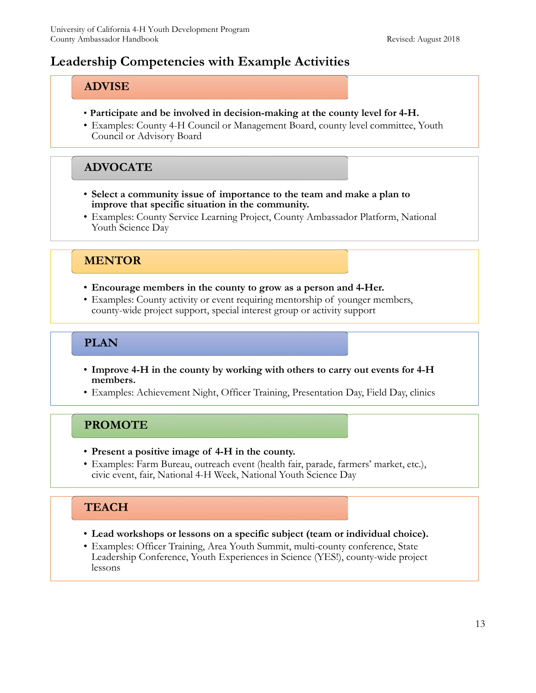# **Leadership Competencies with Example Activities**

## **ADVISE**

- **Participate and be involved in decision-making at the county level for 4-H.**
- Examples: County 4-H Council or Management Board, county level committee, Youth Council or Advisory Board

## **ADVOCATE**

- **Select a community issue of importance to the team and make a plan to improve that specific situation in the community.**
- Examples: County Service Learning Project, County Ambassador Platform, National Youth Science Day

# **MENTOR**

- **Encourage members in the county to grow as a person and 4-Her.**
- Examples: County activity or event requiring mentorship of younger members, county-wide project support, special interest group or activity support

# **PLAN**

- **Improve 4-H in the county by working with others to carry out events for 4-H members.**
- Examples: Achievement Night, Officer Training, Presentation Day, Field Day, clinics

# **PROMOTE**

- **Present a positive image of 4-H in the county.**
- Examples: Farm Bureau, outreach event (health fair, parade, farmers' market, etc.), civic event, fair, National 4-H Week, National Youth Science Day

# **TEACH**

- **Lead workshops or lessons on a specific subject (team or individual choice).**
- Examples: Officer Training, Area Youth Summit, multi-county conference, State Leadership Conference, Youth Experiences in Science (YES!), county-wide project lessons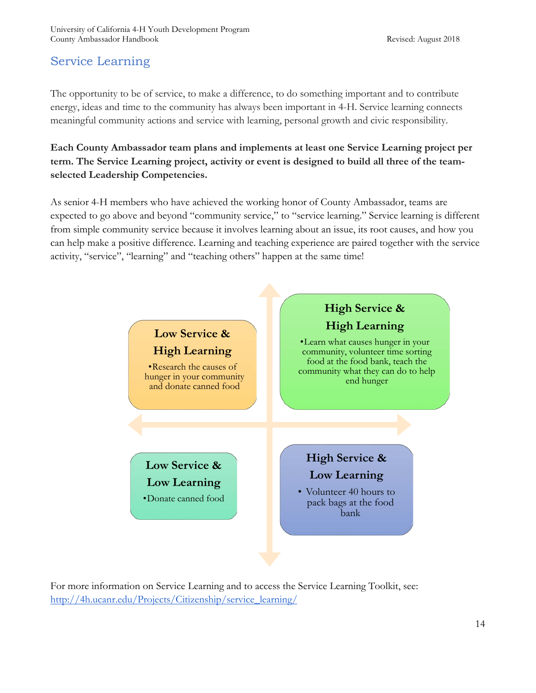# Service Learning

The opportunity to be of service, to make a difference, to do something important and to contribute energy, ideas and time to the community has always been important in 4-H. Service learning connects meaningful community actions and service with learning, personal growth and civic responsibility.

**Each County Ambassador team plans and implements at least one Service Learning project per term. The Service Learning project, activity or event is designed to build all three of the teamselected Leadership Competencies.** 

As senior 4-H members who have achieved the working honor of County Ambassador, teams are expected to go above and beyond "community service," to "service learning." Service learning is different from simple community service because it involves learning about an issue, its root causes, and how you can help make a positive difference. Learning and teaching experience are paired together with the service activity, "service", "learning" and "teaching others" happen at the same time!



For more information on Service Learning and to access the Service Learning Toolkit, see: [http://4h.ucanr.edu/Projects/Citizenship/service\\_learning/](http://4h.ucanr.edu/Projects/Citizenship/service_learning/)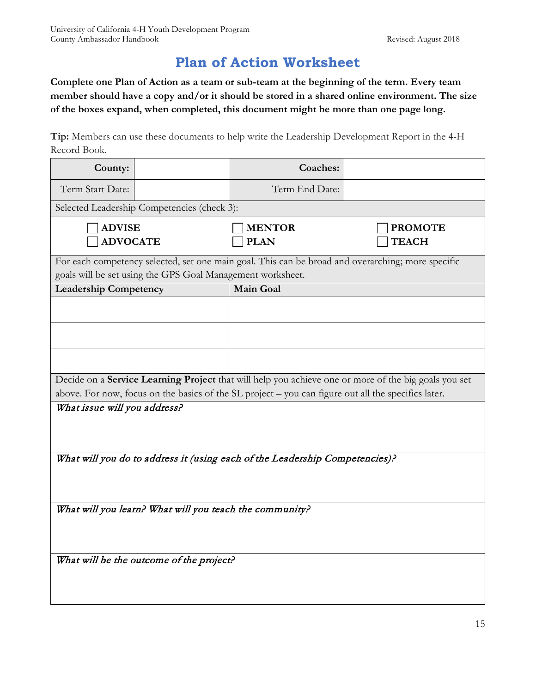# **Plan of Action Worksheet**

**Complete one Plan of Action as a team or sub-team at the beginning of the term. Every team member should have a copy and/or it should be stored in a shared online environment. The size of the boxes expand, when completed, this document might be more than one page long.** 

**Tip:** Members can use these documents to help write the Leadership Development Report in the 4-H Record Book.

| County:                                                                                             |                                                            | Coaches:                                                                                          |                                                                                                      |
|-----------------------------------------------------------------------------------------------------|------------------------------------------------------------|---------------------------------------------------------------------------------------------------|------------------------------------------------------------------------------------------------------|
| Term Start Date:                                                                                    |                                                            | Term End Date:                                                                                    |                                                                                                      |
|                                                                                                     | Selected Leadership Competencies (check 3):                |                                                                                                   |                                                                                                      |
| <b>ADVISE</b><br><b>ADVOCATE</b>                                                                    |                                                            | <b>MENTOR</b><br><b>PLAN</b>                                                                      | <b>PROMOTE</b><br><b>TEACH</b>                                                                       |
|                                                                                                     | goals will be set using the GPS Goal Management worksheet. | For each competency selected, set one main goal. This can be broad and overarching; more specific |                                                                                                      |
| <b>Leadership Competency</b>                                                                        |                                                            | <b>Main Goal</b>                                                                                  |                                                                                                      |
|                                                                                                     |                                                            |                                                                                                   |                                                                                                      |
|                                                                                                     |                                                            |                                                                                                   |                                                                                                      |
|                                                                                                     |                                                            |                                                                                                   |                                                                                                      |
|                                                                                                     |                                                            |                                                                                                   | Decide on a Service Learning Project that will help you achieve one or more of the big goals you set |
| above. For now, focus on the basics of the SL project - you can figure out all the specifics later. |                                                            |                                                                                                   |                                                                                                      |
| What issue will you address?                                                                        |                                                            |                                                                                                   |                                                                                                      |
|                                                                                                     |                                                            | What will you do to address it (using each of the Leadership Competencies)?                       |                                                                                                      |
|                                                                                                     |                                                            |                                                                                                   |                                                                                                      |
| What will you learn? What will you teach the community?                                             |                                                            |                                                                                                   |                                                                                                      |
|                                                                                                     |                                                            |                                                                                                   |                                                                                                      |
| What will be the outcome of the project?                                                            |                                                            |                                                                                                   |                                                                                                      |
|                                                                                                     |                                                            |                                                                                                   |                                                                                                      |
|                                                                                                     |                                                            |                                                                                                   |                                                                                                      |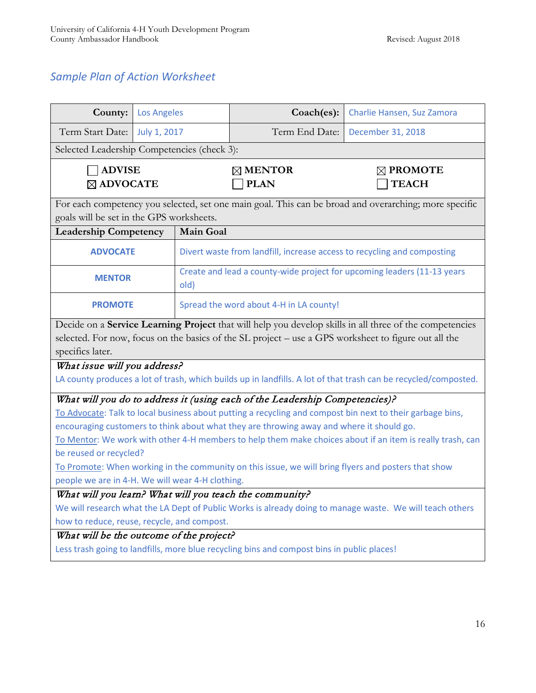# *Sample Plan of Action Worksheet*

|                                                                                                                               |                                         | <b>Los Angeles</b>                                                              | Coach(es):                                                                                           | Charlie Hansen, Suz Zamora                                                                                      |
|-------------------------------------------------------------------------------------------------------------------------------|-----------------------------------------|---------------------------------------------------------------------------------|------------------------------------------------------------------------------------------------------|-----------------------------------------------------------------------------------------------------------------|
| Term Start Date:                                                                                                              | July 1, 2017                            |                                                                                 | Term End Date:                                                                                       | December 31, 2018                                                                                               |
| Selected Leadership Competencies (check 3):                                                                                   |                                         |                                                                                 |                                                                                                      |                                                                                                                 |
| <b>ADVISE</b><br>⊠ ADVOCATE                                                                                                   |                                         |                                                                                 | $\boxtimes$ MENTOR<br><b>PLAN</b>                                                                    | $\boxtimes$ PROMOTE<br><b>TEACH</b>                                                                             |
| goals will be set in the GPS worksheets.                                                                                      |                                         |                                                                                 |                                                                                                      | For each competency you selected, set one main goal. This can be broad and overarching; more specific           |
| <b>Leadership Competency</b>                                                                                                  |                                         | Main Goal                                                                       |                                                                                                      |                                                                                                                 |
| <b>ADVOCATE</b>                                                                                                               |                                         |                                                                                 | Divert waste from landfill, increase access to recycling and composting                              |                                                                                                                 |
| <b>MENTOR</b>                                                                                                                 |                                         | Create and lead a county-wide project for upcoming leaders (11-13 years<br>old) |                                                                                                      |                                                                                                                 |
| <b>PROMOTE</b>                                                                                                                | Spread the word about 4-H in LA county! |                                                                                 |                                                                                                      |                                                                                                                 |
|                                                                                                                               |                                         |                                                                                 |                                                                                                      | Decide on a Service Learning Project that will help you develop skills in all three of the competencies         |
|                                                                                                                               |                                         |                                                                                 | selected. For now, focus on the basics of the SL project - use a GPS worksheet to figure out all the |                                                                                                                 |
| specifics later.                                                                                                              |                                         |                                                                                 |                                                                                                      |                                                                                                                 |
| What issue will you address?                                                                                                  |                                         |                                                                                 |                                                                                                      |                                                                                                                 |
|                                                                                                                               |                                         |                                                                                 |                                                                                                      | LA county produces a lot of trash, which builds up in landfills. A lot of that trash can be recycled/composted. |
|                                                                                                                               |                                         |                                                                                 | What will you do to address it (using each of the Leadership Competencies)?                          |                                                                                                                 |
| To Advocate: Talk to local business about putting a recycling and compost bin next to their garbage bins,                     |                                         |                                                                                 |                                                                                                      |                                                                                                                 |
| encouraging customers to think about what they are throwing away and where it should go.                                      |                                         |                                                                                 |                                                                                                      |                                                                                                                 |
| To Mentor: We work with other 4-H members to help them make choices about if an item is really trash, can                     |                                         |                                                                                 |                                                                                                      |                                                                                                                 |
| be reused or recycled?<br>To Promote: When working in the community on this issue, we will bring flyers and posters that show |                                         |                                                                                 |                                                                                                      |                                                                                                                 |
| people we are in 4-H. We will wear 4-H clothing.                                                                              |                                         |                                                                                 |                                                                                                      |                                                                                                                 |
| What will you learn? What will you teach the community?                                                                       |                                         |                                                                                 |                                                                                                      |                                                                                                                 |
| We will research what the LA Dept of Public Works is already doing to manage waste. We will teach others                      |                                         |                                                                                 |                                                                                                      |                                                                                                                 |
| how to reduce, reuse, recycle, and compost.                                                                                   |                                         |                                                                                 |                                                                                                      |                                                                                                                 |
| What will be the outcome of the project?                                                                                      |                                         |                                                                                 |                                                                                                      |                                                                                                                 |
| Less trash going to landfills, more blue recycling bins and compost bins in public places!                                    |                                         |                                                                                 |                                                                                                      |                                                                                                                 |
|                                                                                                                               |                                         |                                                                                 |                                                                                                      |                                                                                                                 |
|                                                                                                                               |                                         |                                                                                 |                                                                                                      |                                                                                                                 |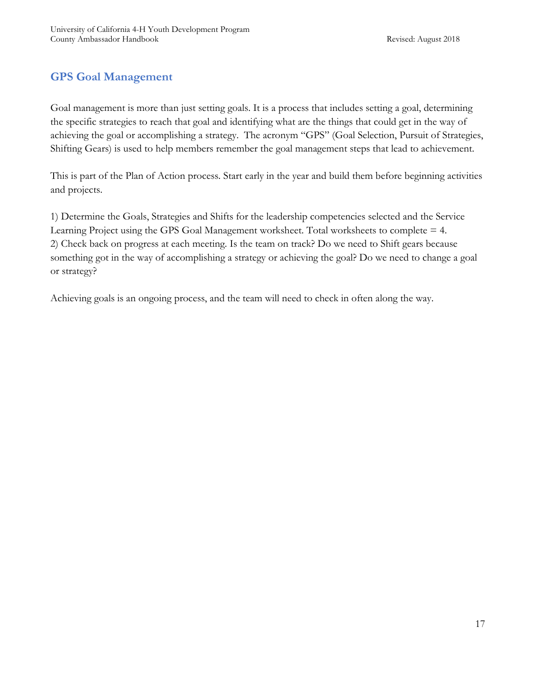# **GPS Goal Management**

Goal management is more than just setting goals. It is a process that includes setting a goal, determining the specific strategies to reach that goal and identifying what are the things that could get in the way of achieving the goal or accomplishing a strategy. The acronym "GPS" (Goal Selection, Pursuit of Strategies, Shifting Gears) is used to help members remember the goal management steps that lead to achievement.

This is part of the Plan of Action process. Start early in the year and build them before beginning activities and projects.

1) Determine the Goals, Strategies and Shifts for the leadership competencies selected and the Service Learning Project using the GPS Goal Management worksheet. Total worksheets to complete = 4. 2) Check back on progress at each meeting. Is the team on track? Do we need to Shift gears because something got in the way of accomplishing a strategy or achieving the goal? Do we need to change a goal or strategy?

Achieving goals is an ongoing process, and the team will need to check in often along the way.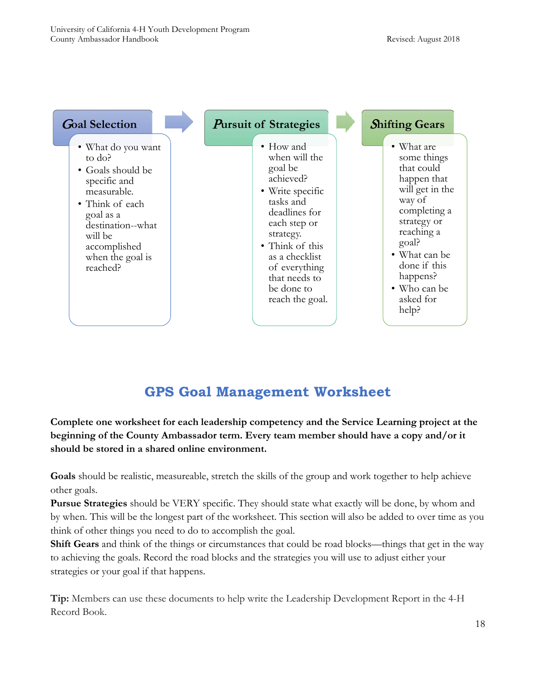

# **GPS Goal Management Worksheet**

**Complete one worksheet for each leadership competency and the Service Learning project at the beginning of the County Ambassador term. Every team member should have a copy and/or it should be stored in a shared online environment.**

**Goals** should be realistic, measureable, stretch the skills of the group and work together to help achieve other goals.

**Pursue Strategies** should be VERY specific. They should state what exactly will be done, by whom and by when. This will be the longest part of the worksheet. This section will also be added to over time as you think of other things you need to do to accomplish the goal.

**Shift Gears** and think of the things or circumstances that could be road blocks—things that get in the way to achieving the goals. Record the road blocks and the strategies you will use to adjust either your strategies or your goal if that happens.

**Tip:** Members can use these documents to help write the Leadership Development Report in the 4-H Record Book.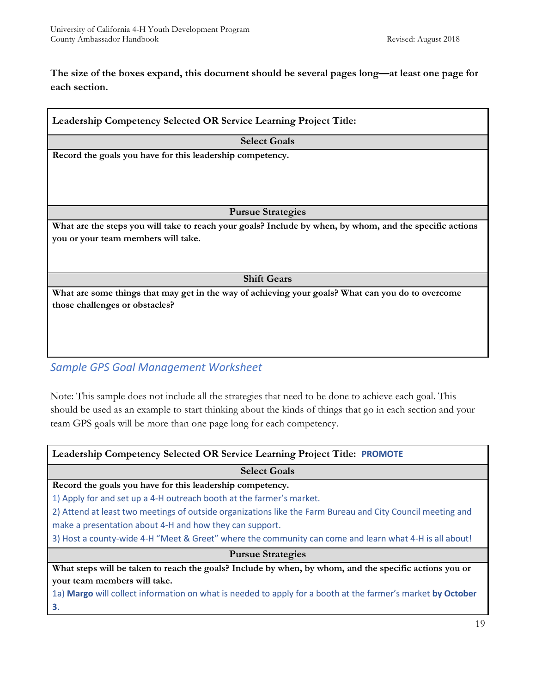**The size of the boxes expand, this document should be several pages long—at least one page for each section.** 

| Leadership Competency Selected OR Service Learning Project Title:                                        |
|----------------------------------------------------------------------------------------------------------|
| <b>Select Goals</b>                                                                                      |
| Record the goals you have for this leadership competency.                                                |
|                                                                                                          |
|                                                                                                          |
|                                                                                                          |
| <b>Pursue Strategies</b>                                                                                 |
| What are the steps you will take to reach your goals? Include by when, by whom, and the specific actions |
| you or your team members will take.                                                                      |
|                                                                                                          |
|                                                                                                          |
| <b>Shift Gears</b>                                                                                       |
| What are some things that may get in the way of achieving your goals? What can you do to overcome        |
| those challenges or obstacles?                                                                           |
|                                                                                                          |
|                                                                                                          |
|                                                                                                          |
|                                                                                                          |
| <b>Sample GPS Goal Management Worksheet</b>                                                              |

Note: This sample does not include all the strategies that need to be done to achieve each goal. This should be used as an example to start thinking about the kinds of things that go in each section and your team GPS goals will be more than one page long for each competency.

| <b>Leadership Competency Selected OR Service Learning Project Title: PROMOTE</b>                            |
|-------------------------------------------------------------------------------------------------------------|
| <b>Select Goals</b>                                                                                         |
| Record the goals you have for this leadership competency.                                                   |
| 1) Apply for and set up a 4-H outreach booth at the farmer's market.                                        |
| 2) Attend at least two meetings of outside organizations like the Farm Bureau and City Council meeting and  |
| make a presentation about 4-H and how they can support.                                                     |
| 3) Host a county-wide 4-H "Meet & Greet" where the community can come and learn what 4-H is all about!      |
| <b>Pursue Strategies</b>                                                                                    |
| What steps will be taken to reach the goals? Include by when, by whom, and the specific actions you or      |
| your team members will take.                                                                                |
| 1a) Margo will collect information on what is needed to apply for a booth at the farmer's market by October |
| 3.                                                                                                          |
| 19                                                                                                          |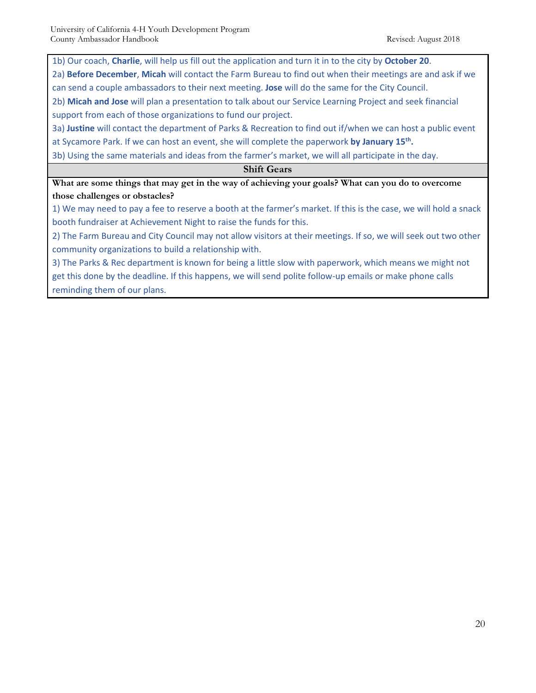1b) Our coach, **Charlie**, will help us fill out the application and turn it in to the city by **October 20**.

2a) **Before December**, **Micah** will contact the Farm Bureau to find out when their meetings are and ask if we can send a couple ambassadors to their next meeting. **Jose** will do the same for the City Council.

2b) **Micah and Jose** will plan a presentation to talk about our Service Learning Project and seek financial support from each of those organizations to fund our project.

3a) **Justine** will contact the department of Parks & Recreation to find out if/when we can host a public event

at Sycamore Park. If we can host an event, she will complete the paperwork **by January 15th.** 

3b) Using the same materials and ideas from the farmer's market, we will all participate in the day.

#### **Shift Gears**

**What are some things that may get in the way of achieving your goals? What can you do to overcome those challenges or obstacles?**

1) We may need to pay a fee to reserve a booth at the farmer's market. If this is the case, we will hold a snack booth fundraiser at Achievement Night to raise the funds for this.

2) The Farm Bureau and City Council may not allow visitors at their meetings. If so, we will seek out two other community organizations to build a relationship with.

3) The Parks & Rec department is known for being a little slow with paperwork, which means we might not get this done by the deadline. If this happens, we will send polite follow-up emails or make phone calls reminding them of our plans.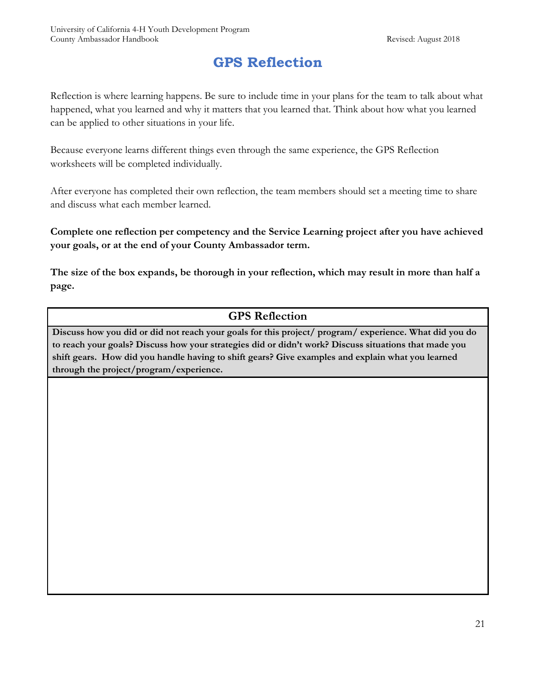# **GPS Reflection**

Reflection is where learning happens. Be sure to include time in your plans for the team to talk about what happened, what you learned and why it matters that you learned that. Think about how what you learned can be applied to other situations in your life.

Because everyone learns different things even through the same experience, the GPS Reflection worksheets will be completed individually.

After everyone has completed their own reflection, the team members should set a meeting time to share and discuss what each member learned.

**Complete one reflection per competency and the Service Learning project after you have achieved your goals, or at the end of your County Ambassador term.**

**The size of the box expands, be thorough in your reflection, which may result in more than half a page.** 

#### **GPS Reflection**

**Discuss how you did or did not reach your goals for this project/ program/ experience. What did you do to reach your goals? Discuss how your strategies did or didn't work? Discuss situations that made you shift gears. How did you handle having to shift gears? Give examples and explain what you learned through the project/program/experience.**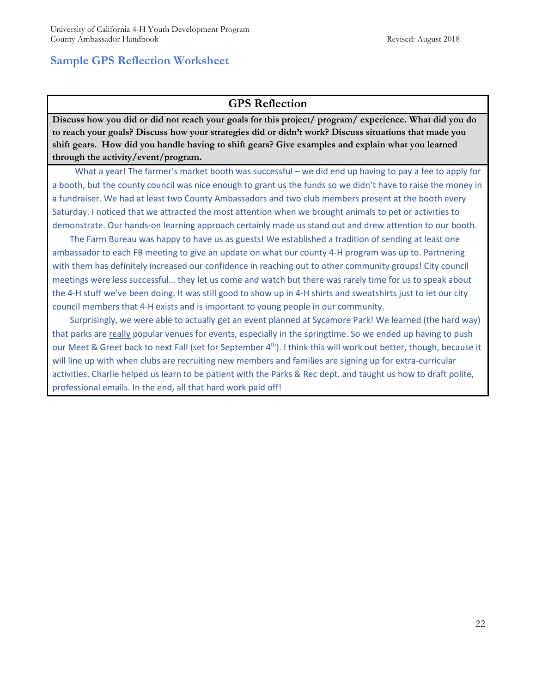#### **GPS Reflection**

**Discuss how you did or did not reach your goals for this project/ program/ experience. What did you do to reach your goals? Discuss how your strategies did or didn't work? Discuss situations that made you shift gears. How did you handle having to shift gears? Give examples and explain what you learned through the activity/event/program.**

What a year! The farmer's market booth was successful – we did end up having to pay a fee to apply for a booth, but the county council was nice enough to grant us the funds so we didn't have to raise the money in a fundraiser. We had at least two County Ambassadors and two club members present at the booth every Saturday. I noticed that we attracted the most attention when we brought animals to pet or activities to demonstrate. Our hands-on learning approach certainly made us stand out and drew attention to our booth.

 The Farm Bureau was happy to have us as guests! We established a tradition of sending at least one ambassador to each FB meeting to give an update on what our county 4-H program was up to. Partnering with them has definitely increased our confidence in reaching out to other community groups! City council meetings were less successful… they let us come and watch but there was rarely time for us to speak about the 4-H stuff we've been doing. It was still good to show up in 4-H shirts and sweatshirts just to let our city council members that 4-H exists and is important to young people in our community.

 Surprisingly, we were able to actually get an event planned at Sycamore Park! We learned (the hard way) that parks are really popular venues for events, especially in the springtime. So we ended up having to push our Meet & Greet back to next Fall (set for September 4<sup>th</sup>). I think this will work out better, though, because it will line up with when clubs are recruiting new members and families are signing up for extra-curricular activities. Charlie helped us learn to be patient with the Parks & Rec dept. and taught us how to draft polite, professional emails. In the end, all that hard work paid off!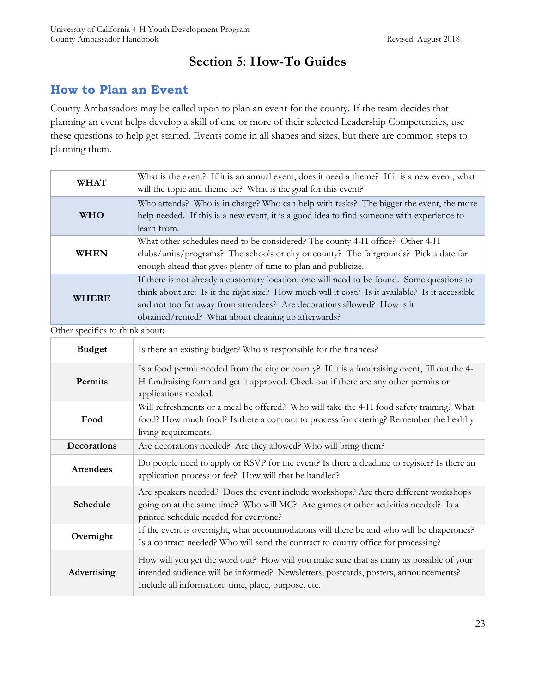# **Section 5: How-To Guides**

# **How to Plan an Event**

County Ambassadors may be called upon to plan an event for the county. If the team decides that planning an event helps develop a skill of one or more of their selected Leadership Competencies, use these questions to help get started. Events come in all shapes and sizes, but there are common steps to planning them.

| <b>WHAT</b>  | What is the event? If it is an annual event, does it need a theme? If it is a new event, what<br>will the topic and theme be? What is the goal for this event?                                                                                                                                                                  |
|--------------|---------------------------------------------------------------------------------------------------------------------------------------------------------------------------------------------------------------------------------------------------------------------------------------------------------------------------------|
| <b>WHO</b>   | Who attends? Who is in charge? Who can help with tasks? The bigger the event, the more<br>help needed. If this is a new event, it is a good idea to find someone with experience to<br>learn from.                                                                                                                              |
| <b>WHEN</b>  | What other schedules need to be considered? The county 4-H office? Other 4-H<br>clubs/units/programs? The schools or city or county? The fairgrounds? Pick a date far<br>enough ahead that gives plenty of time to plan and publicize.                                                                                          |
| <b>WHERE</b> | If there is not already a customary location, one will need to be found. Some questions to<br>think about are: Is it the right size? How much will it cost? Is it available? Is it accessible<br>and not too far away from attendees? Are decorations allowed? How is it<br>obtained/rented? What about cleaning up afterwards? |

Other specifics to think about:

| <b>Budget</b>    | Is there an existing budget? Who is responsible for the finances?                                                                                                                                                                    |
|------------------|--------------------------------------------------------------------------------------------------------------------------------------------------------------------------------------------------------------------------------------|
| Permits          | Is a food permit needed from the city or county? If it is a fundraising event, fill out the 4-<br>H fundraising form and get it approved. Check out if there are any other permits or<br>applications needed.                        |
| Food             | Will refreshments or a meal be offered? Who will take the 4-H food safety training? What<br>food? How much food? Is there a contract to process for catering? Remember the healthy<br>living requirements.                           |
| Decorations      | Are decorations needed? Are they allowed? Who will bring them?                                                                                                                                                                       |
| <b>Attendees</b> | Do people need to apply or RSVP for the event? Is there a deadline to register? Is there an<br>application process or fee? How will that be handled?                                                                                 |
| Schedule         | Are speakers needed? Does the event include workshops? Are there different workshops<br>going on at the same time? Who will MC? Are games or other activities needed? Is a<br>printed schedule needed for everyone?                  |
| Overnight        | If the event is overnight, what accommodations will there be and who will be chaperones?<br>Is a contract needed? Who will send the contract to county office for processing?                                                        |
| Advertising      | How will you get the word out? How will you make sure that as many as possible of your<br>intended audience will be informed? Newsletters, postcards, posters, announcements?<br>Include all information: time, place, purpose, etc. |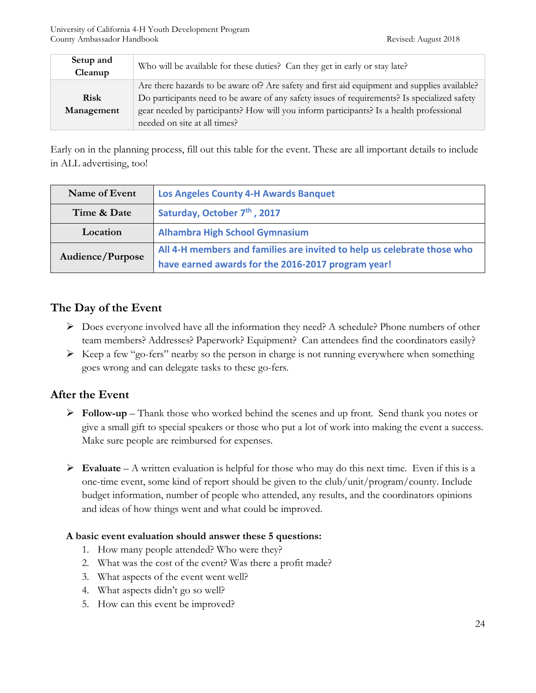| Setup and<br>Cleanup | Who will be available for these duties? Can they get in early or stay late?                  |  |
|----------------------|----------------------------------------------------------------------------------------------|--|
|                      | Are there hazards to be aware of? Are safety and first aid equipment and supplies available? |  |
| <b>Risk</b>          | Do participants need to be aware of any safety issues of requirements? Is specialized safety |  |
| Management           | gear needed by participants? How will you inform participants? Is a health professional      |  |
|                      | needed on site at all times?                                                                 |  |

Early on in the planning process, fill out this table for the event. These are all important details to include in ALL advertising, too!

| Name of Event    | <b>Los Angeles County 4-H Awards Banquet</b>                            |
|------------------|-------------------------------------------------------------------------|
| Time & Date      | Saturday, October 7 <sup>th</sup> , 2017                                |
| Location         | <b>Alhambra High School Gymnasium</b>                                   |
| Audience/Purpose | All 4-H members and families are invited to help us celebrate those who |
|                  | have earned awards for the 2016-2017 program year!                      |

## **The Day of the Event**

- Does everyone involved have all the information they need? A schedule? Phone numbers of other team members? Addresses? Paperwork? Equipment? Can attendees find the coordinators easily?
- $\triangleright$  Keep a few "go-fers" nearby so the person in charge is not running everywhere when something goes wrong and can delegate tasks to these go-fers.

## **After the Event**

- **Follow-up** Thank those who worked behind the scenes and up front. Send thank you notes or give a small gift to special speakers or those who put a lot of work into making the event a success. Make sure people are reimbursed for expenses.
- **Evaluate** A written evaluation is helpful for those who may do this next time. Even if this is a one-time event, some kind of report should be given to the club/unit/program/county. Include budget information, number of people who attended, any results, and the coordinators opinions and ideas of how things went and what could be improved.

#### **A basic event evaluation should answer these 5 questions:**

- 1. How many people attended? Who were they?
- 2. What was the cost of the event? Was there a profit made?
- 3. What aspects of the event went well?
- 4. What aspects didn't go so well?
- 5. How can this event be improved?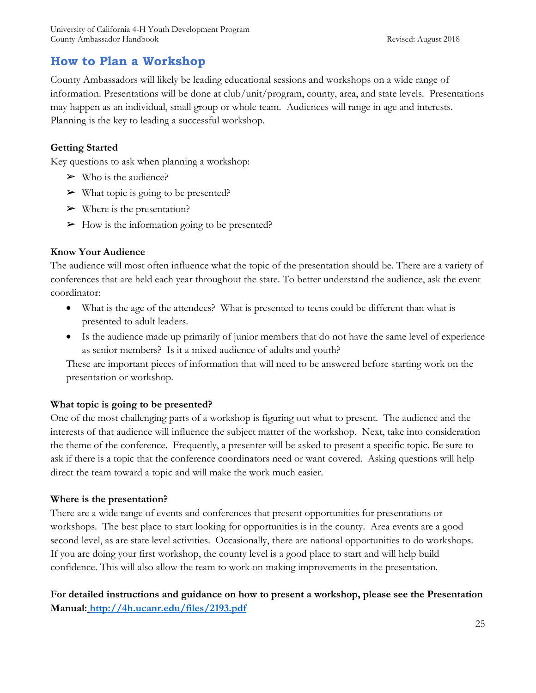# **How to Plan a Workshop**

County Ambassadors will likely be leading educational sessions and workshops on a wide range of information. Presentations will be done at club/unit/program, county, area, and state levels. Presentations may happen as an individual, small group or whole team. Audiences will range in age and interests. Planning is the key to leading a successful workshop.

#### **Getting Started**

Key questions to ask when planning a workshop:

- $\triangleright$  Who is the audience?
- $\triangleright$  What topic is going to be presented?
- $\triangleright$  Where is the presentation?
- $\triangleright$  How is the information going to be presented?

#### **Know Your Audience**

The audience will most often influence what the topic of the presentation should be. There are a variety of conferences that are held each year throughout the state. To better understand the audience, ask the event coordinator:

- What is the age of the attendees? What is presented to teens could be different than what is presented to adult leaders.
- Is the audience made up primarily of junior members that do not have the same level of experience as senior members? Is it a mixed audience of adults and youth?

These are important pieces of information that will need to be answered before starting work on the presentation or workshop.

#### **What topic is going to be presented?**

One of the most challenging parts of a workshop is figuring out what to present. The audience and the interests of that audience will influence the subject matter of the workshop. Next, take into consideration the theme of the conference. Frequently, a presenter will be asked to present a specific topic. Be sure to ask if there is a topic that the conference coordinators need or want covered. Asking questions will help direct the team toward a topic and will make the work much easier.

#### **Where is the presentation?**

There are a wide range of events and conferences that present opportunities for presentations or workshops. The best place to start looking for opportunities is in the county. Area events are a good second level, as are state level activities. Occasionally, there are national opportunities to do workshops. If you are doing your first workshop, the county level is a good place to start and will help build confidence. This will also allow the team to work on making improvements in the presentation.

**For detailed instructions and guidance on how to present a workshop, please see the Presentation Manual: <http://4h.ucanr.edu/files/2193.pdf>**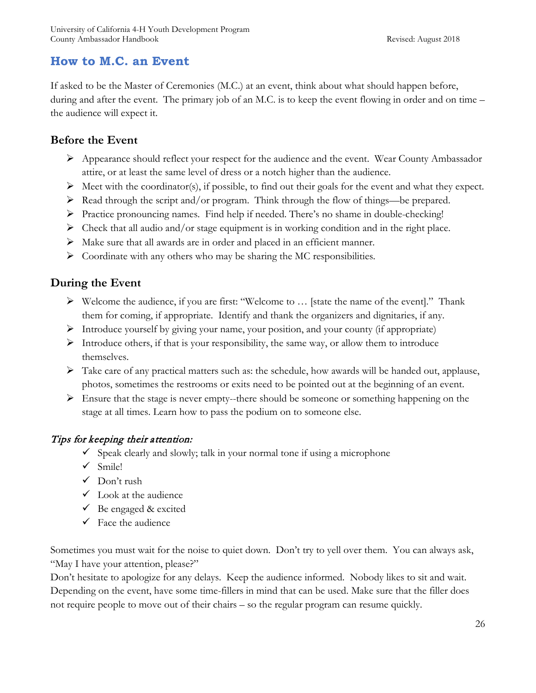# **How to M.C. an Event**

If asked to be the Master of Ceremonies (M.C.) at an event, think about what should happen before, during and after the event. The primary job of an M.C. is to keep the event flowing in order and on time – the audience will expect it.

#### **Before the Event**

- $\triangleright$  Appearance should reflect your respect for the audience and the event. Wear County Ambassador attire, or at least the same level of dress or a notch higher than the audience.
- $\triangleright$  Meet with the coordinator(s), if possible, to find out their goals for the event and what they expect.
- $\triangleright$  Read through the script and/or program. Think through the flow of things—be prepared.
- $\triangleright$  Practice pronouncing names. Find help if needed. There's no shame in double-checking!
- $\triangleright$  Check that all audio and/or stage equipment is in working condition and in the right place.
- Make sure that all awards are in order and placed in an efficient manner.
- $\triangleright$  Coordinate with any others who may be sharing the MC responsibilities.

## **During the Event**

- $\triangleright$  Welcome the audience, if you are first: "Welcome to ... [state the name of the event]." Thank them for coming, if appropriate. Identify and thank the organizers and dignitaries, if any.
- $\triangleright$  Introduce yourself by giving your name, your position, and your county (if appropriate)
- $\triangleright$  Introduce others, if that is your responsibility, the same way, or allow them to introduce themselves.
- $\triangleright$  Take care of any practical matters such as: the schedule, how awards will be handed out, applause, photos, sometimes the restrooms or exits need to be pointed out at the beginning of an event.
- $\triangleright$  Ensure that the stage is never empty--there should be someone or something happening on the stage at all times. Learn how to pass the podium on to someone else.

#### Tips for keeping their attention:

- $\checkmark$  Speak clearly and slowly; talk in your normal tone if using a microphone
- $\checkmark$  Smile!
- $\checkmark$  Don't rush
- $\checkmark$  Look at the audience
- $\checkmark$  Be engaged & excited
- $\checkmark$  Face the audience

Sometimes you must wait for the noise to quiet down. Don't try to yell over them. You can always ask, "May I have your attention, please?"

Don't hesitate to apologize for any delays. Keep the audience informed. Nobody likes to sit and wait. Depending on the event, have some time-fillers in mind that can be used. Make sure that the filler does not require people to move out of their chairs – so the regular program can resume quickly.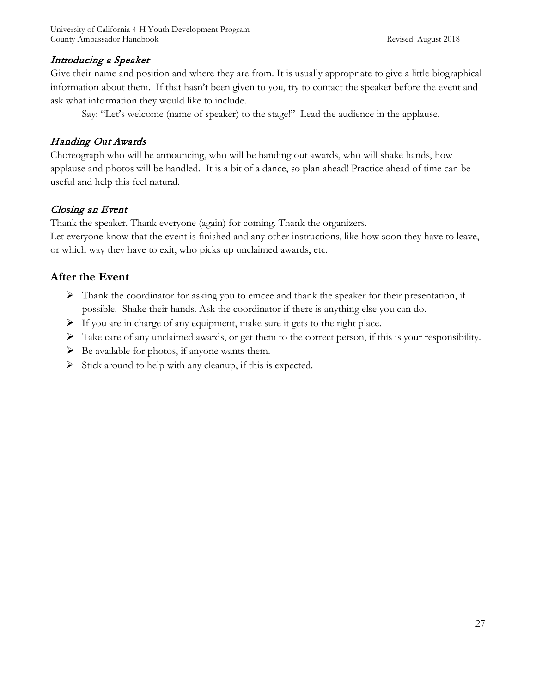#### Introducing a Speaker

Give their name and position and where they are from. It is usually appropriate to give a little biographical information about them. If that hasn't been given to you, try to contact the speaker before the event and ask what information they would like to include.

Say: "Let's welcome (name of speaker) to the stage!" Lead the audience in the applause.

#### Handing Out Awards

Choreograph who will be announcing, who will be handing out awards, who will shake hands, how applause and photos will be handled. It is a bit of a dance, so plan ahead! Practice ahead of time can be useful and help this feel natural.

#### Closing an Event

Thank the speaker. Thank everyone (again) for coming. Thank the organizers.

Let everyone know that the event is finished and any other instructions, like how soon they have to leave, or which way they have to exit, who picks up unclaimed awards, etc.

#### **After the Event**

- $\triangleright$  Thank the coordinator for asking you to emcee and thank the speaker for their presentation, if possible. Shake their hands. Ask the coordinator if there is anything else you can do.
- $\triangleright$  If you are in charge of any equipment, make sure it gets to the right place.
- $\triangleright$  Take care of any unclaimed awards, or get them to the correct person, if this is your responsibility.
- $\triangleright$  Be available for photos, if anyone wants them.
- $\triangleright$  Stick around to help with any cleanup, if this is expected.